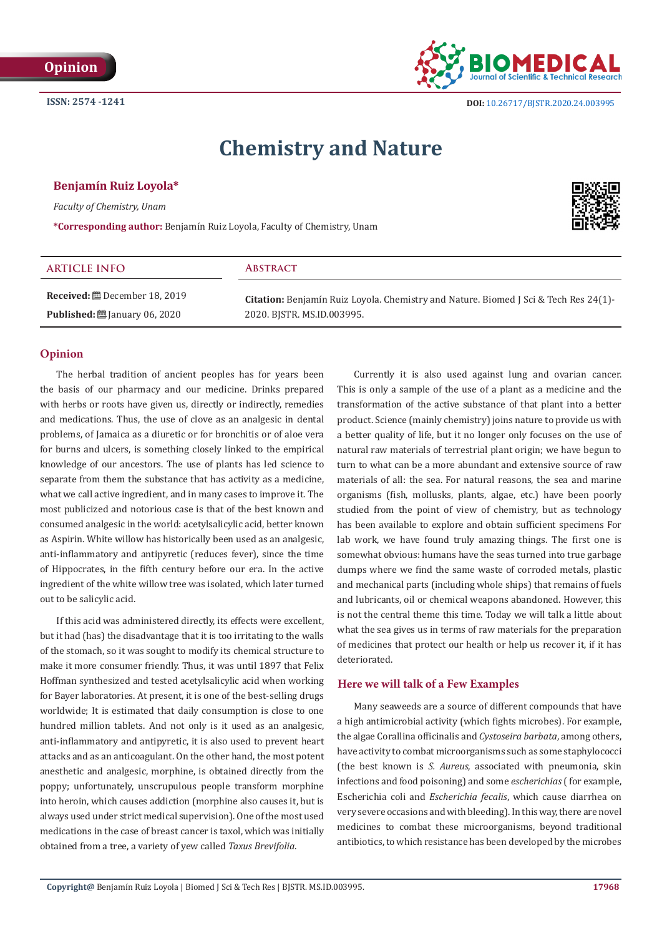

 **DOI:** [10.26717/BJSTR.2020.24.003995](http://dx.doi.org/10.26717/BJSTR.2020.24.003995)

# **Chemistry and Nature**

# **Benjamín Ruiz Loyola\***

*Faculty of Chemistry, Unam*

**\*Corresponding author:** Benjamín Ruiz Loyola, Faculty of Chemistry, Unam



| <b>ARTICLE INFO</b>                      | <b>ABSTRACT</b>                                                                             |
|------------------------------------------|---------------------------------------------------------------------------------------------|
| <b>Received:</b> ■ December 18, 2019     | <b>Citation:</b> Benjamín Ruiz Loyola. Chemistry and Nature. Biomed J Sci & Tech Res 24(1)- |
| <b>Published:</b> [201] January 06, 2020 | 2020. BISTR. MS.ID.003995.                                                                  |

# **Opinion**

The herbal tradition of ancient peoples has for years been the basis of our pharmacy and our medicine. Drinks prepared with herbs or roots have given us, directly or indirectly, remedies and medications. Thus, the use of clove as an analgesic in dental problems, of Jamaica as a diuretic or for bronchitis or of aloe vera for burns and ulcers, is something closely linked to the empirical knowledge of our ancestors. The use of plants has led science to separate from them the substance that has activity as a medicine, what we call active ingredient, and in many cases to improve it. The most publicized and notorious case is that of the best known and consumed analgesic in the world: acetylsalicylic acid, better known as Aspirin. White willow has historically been used as an analgesic, anti-inflammatory and antipyretic (reduces fever), since the time of Hippocrates, in the fifth century before our era. In the active ingredient of the white willow tree was isolated, which later turned out to be salicylic acid.

If this acid was administered directly, its effects were excellent, but it had (has) the disadvantage that it is too irritating to the walls of the stomach, so it was sought to modify its chemical structure to make it more consumer friendly. Thus, it was until 1897 that Felix Hoffman synthesized and tested acetylsalicylic acid when working for Bayer laboratories. At present, it is one of the best-selling drugs worldwide; It is estimated that daily consumption is close to one hundred million tablets. And not only is it used as an analgesic, anti-inflammatory and antipyretic, it is also used to prevent heart attacks and as an anticoagulant. On the other hand, the most potent anesthetic and analgesic, morphine, is obtained directly from the poppy; unfortunately, unscrupulous people transform morphine into heroin, which causes addiction (morphine also causes it, but is always used under strict medical supervision). One of the most used medications in the case of breast cancer is taxol, which was initially obtained from a tree, a variety of yew called *Taxus Brevifolia*.

Currently it is also used against lung and ovarian cancer. This is only a sample of the use of a plant as a medicine and the transformation of the active substance of that plant into a better product. Science (mainly chemistry) joins nature to provide us with a better quality of life, but it no longer only focuses on the use of natural raw materials of terrestrial plant origin; we have begun to turn to what can be a more abundant and extensive source of raw materials of all: the sea. For natural reasons, the sea and marine organisms (fish, mollusks, plants, algae, etc.) have been poorly studied from the point of view of chemistry, but as technology has been available to explore and obtain sufficient specimens For lab work, we have found truly amazing things. The first one is somewhat obvious: humans have the seas turned into true garbage dumps where we find the same waste of corroded metals, plastic and mechanical parts (including whole ships) that remains of fuels and lubricants, oil or chemical weapons abandoned. However, this is not the central theme this time. Today we will talk a little about what the sea gives us in terms of raw materials for the preparation of medicines that protect our health or help us recover it, if it has deteriorated.

### **Here we will talk of a Few Examples**

Many seaweeds are a source of different compounds that have a high antimicrobial activity (which fights microbes). For example, the algae Corallina officinalis and *Cystoseira barbata*, among others, have activity to combat microorganisms such as some staphylococci (the best known is *S. Aureus*, associated with pneumonia, skin infections and food poisoning) and some *escherichias* ( for example, Escherichia coli and *Escherichia fecalis*, which cause diarrhea on very severe occasions and with bleeding). In this way, there are novel medicines to combat these microorganisms, beyond traditional antibiotics, to which resistance has been developed by the microbes